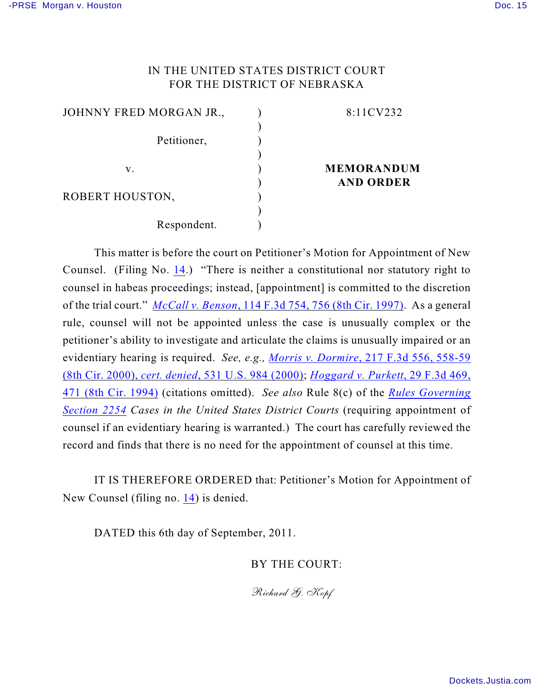## IN THE UNITED STATES DISTRICT COURT FOR THE DISTRICT OF NEBRASKA

| JOHNNY FRED MORGAN JR., | 8:11CV232         |
|-------------------------|-------------------|
|                         |                   |
| Petitioner,             |                   |
|                         |                   |
| v.                      | <b>MEMORANDUM</b> |
|                         | <b>AND ORDER</b>  |
| ROBERT HOUSTON,         |                   |
|                         |                   |
| Respondent.             |                   |

This matter is before the court on Petitioner's Motion for Appointment of New Counsel. (Filing No. [14](http://ecf.ned.uscourts.gov/doc1/11302346555).) "There is neither a constitutional nor statutory right to counsel in habeas proceedings; instead, [appointment] is committed to the discretion of the trial court." *McCall v. Benson*[, 114 F.3d 754, 756 \(8th Cir. 1997\)](http://www.westlaw.com/find/default.wl?rs=CLWP3.0&vr=2.0&cite=114+F.3d+754). As a general rule, counsel will not be appointed unless the case is unusually complex or the petitioner's ability to investigate and articulate the claims is unusually impaired or an evidentiary hearing is required. *See, e.g., Morris v. Dormire*[, 217 F.3d 556, 558-59](http://www.westlaw.com/find/default.wl?rs=CLWP3.0&vr=2.0&cite=217+F.3d+556) (8th Cir. 2000), *cert. denied*[, 531 U.S. 984 \(2000\)](http://www.westlaw.com/find/default.wl?rs=CLWP3.0&vr=2.0&cite=217+F.3d+556); *[Hoggard v. Purkett](http://www.westlaw.com/find/default.wl?rs=CLWP3.0&vr=2.0&cite=29+F.3d+469)*, 29 F.3d 469, [471 \(8th Cir. 1994\)](http://www.westlaw.com/find/default.wl?rs=CLWP3.0&vr=2.0&cite=29+F.3d+469) (citations omitted). *See also* Rule 8(c) of the *[Rules Governing](http://www.westlaw.com/find/default.wl?rs=CLWP3.0&vr=2.0&cite=SECT+Section+2254) [Section 2254](http://www.westlaw.com/find/default.wl?rs=CLWP3.0&vr=2.0&cite=SECT+Section+2254) Cases in the United States District Courts* (requiring appointment of counsel if an evidentiary hearing is warranted.) The court has carefully reviewed the record and finds that there is no need for the appointment of counsel at this time.

IT IS THEREFORE ORDERED that: Petitioner's Motion for Appointment of New Counsel (filing no. [14](http://ecf.ned.uscourts.gov/doc1/11302346555)) is denied.

DATED this 6th day of September, 2011.

BY THE COURT:

*Richard G. Kopf*